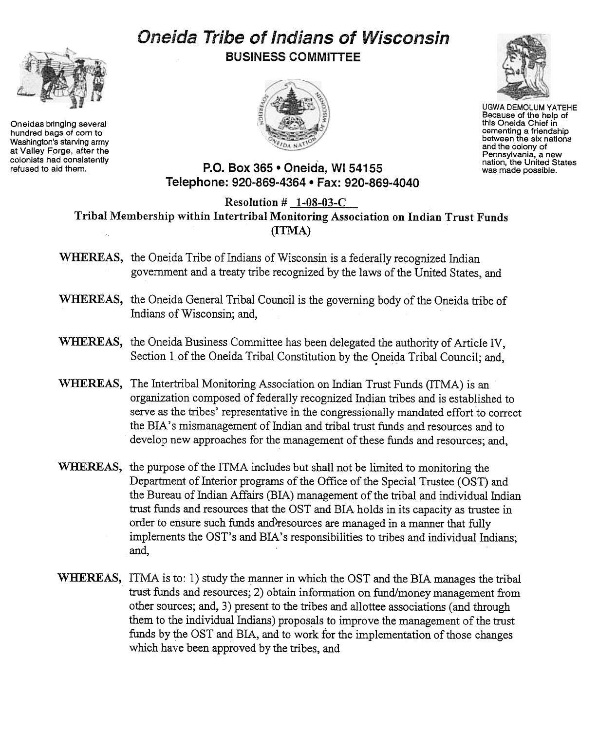## Oneida Tribe of Indians of Wisconsin BUSINESS COMMITTEE





UGWA DEMOLUM YATEHE Because of the help of this Oneida Chief in cementing a friendship between the six nations and the colony of Pennsylvania, a new nation, the United States was made possible.



P.O. Box 365 • Oneida, WI 54155 Telephone: 920-869-4364 · Fax: 920-869-4040

Resolution # 1-08-03-C Tribal Membership within Intertribal Monitoring Association on Indian Trust Funds (ITMA)

- WHEREAS, the Oneida Tribe of Indians of Wisconsin is a federally recognized Indian government and a treaty tribe recognized by the laws of the United States, and
- WHEREAS, the Oneida General Tribal Council is the governing body of the Oneida tribe of Indians of Wisconsin; and,
- WHEREAS, the Oneida Business Committee has been delegated the authority of Article IV, Section 1 of the Oneida Tribal Constitution by the Oneida Tribal Council; and,
- WHEREAS, The Intertribal Monitoring Association on Indian Trust Funds (ITMA) is an organization composed of federally recognized Indian tribes and is established to serve as the tribes' representative in the congressionally mandated effort to correct the BIA' s mismanagement of Indian and tribal trust funds and resources and to develop new approaches for the management of these funds and resources; and,
- WHEREAS, the purpose of the ITMA includes but shall not be limited to monitoring the Department of Interior programs of the Office of the Special Trustee (OST) and the Bureau of Indian Affairs (BIA) management of the tribal and individual Indian trust funds and resources that the OST and BIA holds in its capacity as trustee in order to ensure such funds and resources are managed in a manner that fully implements the OST's and BIA's responsibilities to tribes and individual Indians; and,
- WHEREAS, ITMA is to: 1) study the manner in which the OST and the BIA manages the tribal trust funds and resources; 2) obtain information on fund/money management from other sources; and, 3) present to the tribes and allottee associations (and through them to the individual Indians) proposals to improve the management of the trust funds by the OST and BIA, and to work for the implementation of those changes which have been approved by the tribes, and



Oneidas bringing several hundred bags of corn to Washington's starving army at Valley Forge, after the colonists had consistently refused to aid them.